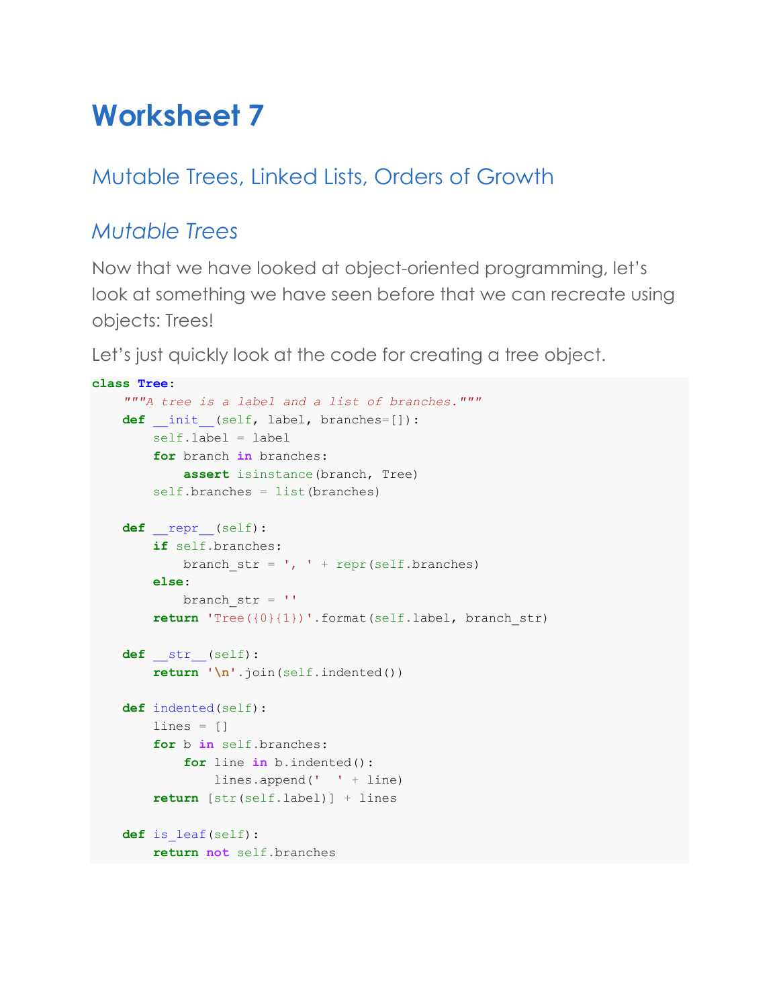# **Worksheet 7**

# Mutable Trees, Linked Lists, Orders of Growth

## *Mutable Trees*

Now that we have looked at object-oriented programming, let's look at something we have seen before that we can recreate using objects: Trees!

Let's just quickly look at the code for creating a tree object.

```
class Tree:
     """A tree is a label and a list of branches."""
    def init (self, label, branches=[]):
         self.label = label
         for branch in branches:
             assert isinstance(branch, Tree)
        self.branches = list(branches)
     def __repr__(self):
         if self.branches:
            branch_str = ', ' + repr(self.branches)
         else:
            branch str = '' return 'Tree({0}{1})'.format(self.label, branch_str)
     def __str__(self):
         return '\n'.join(self.indented())
     def indented(self):
        lines = \lceil]
         for b in self.branches:
             for line in b.indented():
                 lines.append(' ' + line)
         return [str(self.label)] + lines
     def is_leaf(self):
         return not self.branches
```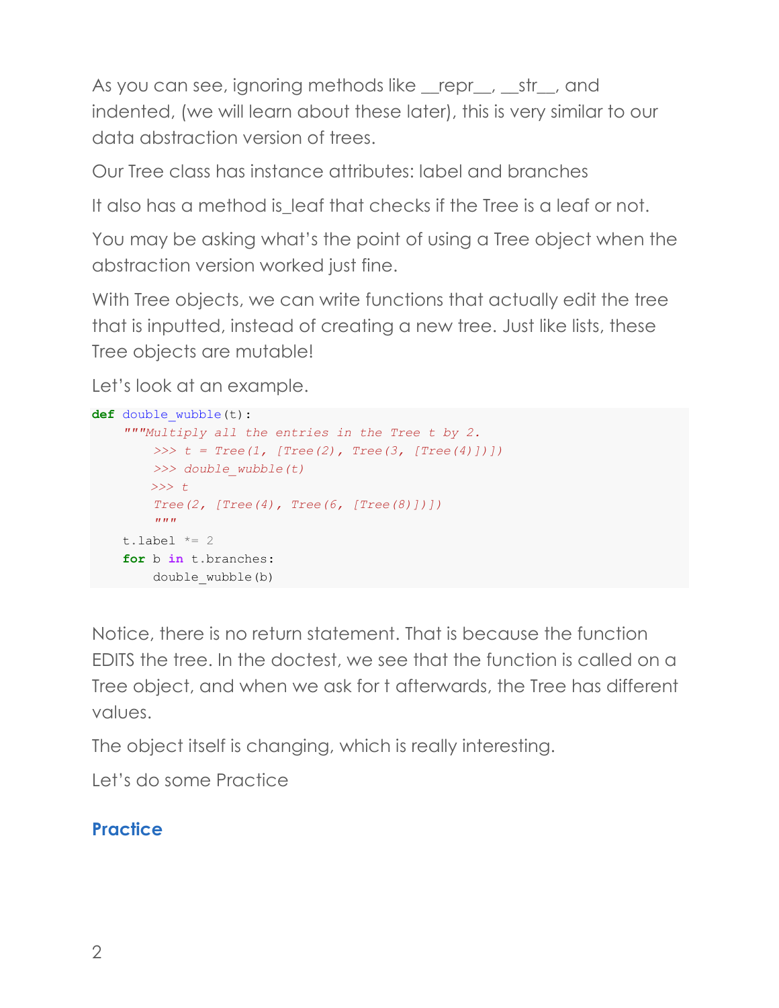As you can see, ignoring methods like repr\_, str\_, and indented, (we will learn about these later), this is very similar to our data abstraction version of trees.

Our Tree class has instance attributes: label and branches

It also has a method is leaf that checks if the Tree is a leaf or not.

You may be asking what's the point of using a Tree object when the abstraction version worked just fine.

With Tree objects, we can write functions that actually edit the tree that is inputted, instead of creating a new tree. Just like lists, these Tree objects are mutable!

Let's look at an example.

```
def double_wubble(t):
     """Multiply all the entries in the Tree t by 2.
         >>> t = Tree(1, [Tree(2), Tree(3, [Tree(4)])])
         >>> double_wubble(t)
        >>> t
         Tree(2, [Tree(4), Tree(6, [Tree(8)])])
 """
    t.label *= 2 for b in t.branches:
        double_wubble(b)
```
Notice, there is no return statement. That is because the function EDITS the tree. In the doctest, we see that the function is called on a Tree object, and when we ask for t afterwards, the Tree has different values.

The object itself is changing, which is really interesting.

Let's do some Practice

#### **Practice**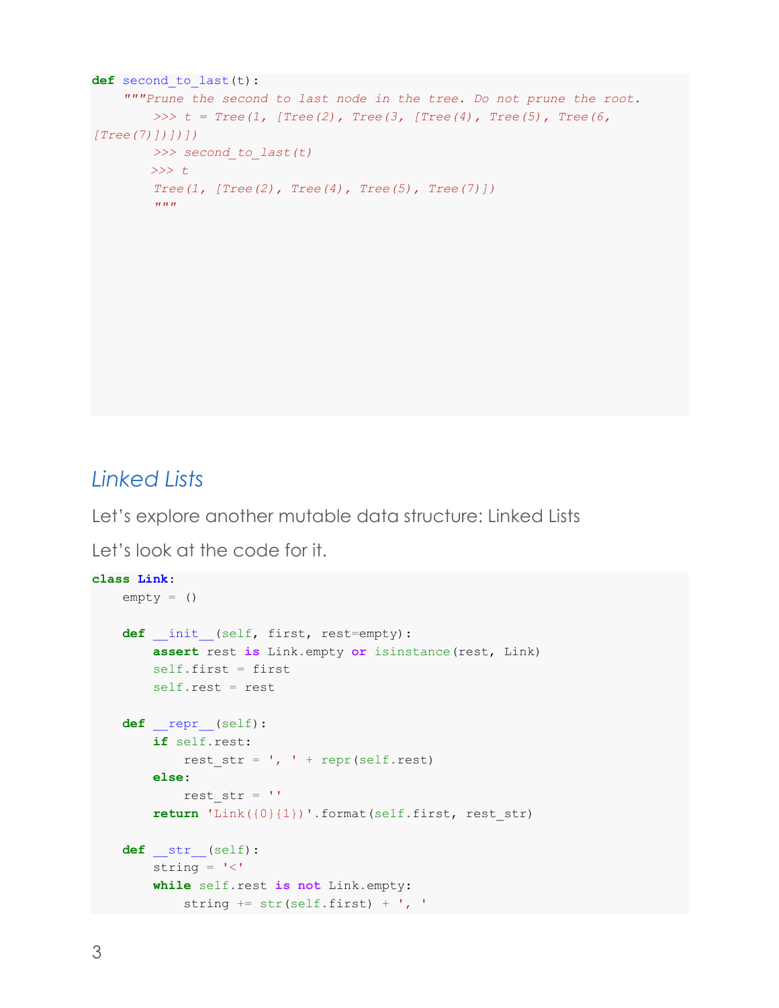```
def second_to_last(t):
      """Prune the second to last node in the tree. Do not prune the root.
          >>> t = Tree(1, [Tree(2), Tree(3, [Tree(4), Tree(5), Tree(6, 
[Tree(7)])])])
          >>> second_to_last(t)
         >>> t
          Tree(1, [Tree(2), Tree(4), Tree(5), Tree(7)])
         \boldsymbol{u} \boldsymbol{u} \boldsymbol{n}
```
## *Linked Lists*

Let's explore another mutable data structure: Linked Lists

Let's look at the code for it.

```
class Link:
    empty = ()def init (self, first, rest=empty):
         assert rest is Link.empty or isinstance(rest, Link)
        self.first = first self.rest = rest
    def __repr__(self):
         if self.rest:
            rest str = ', ' + repr(self.rest) else:
            rest str = '' return 'Link({0}{1})'.format(self.first, rest_str)
     def __str__(self):
        string = '<'
         while self.rest is not Link.empty:
            string += str(self.first) + ', '
```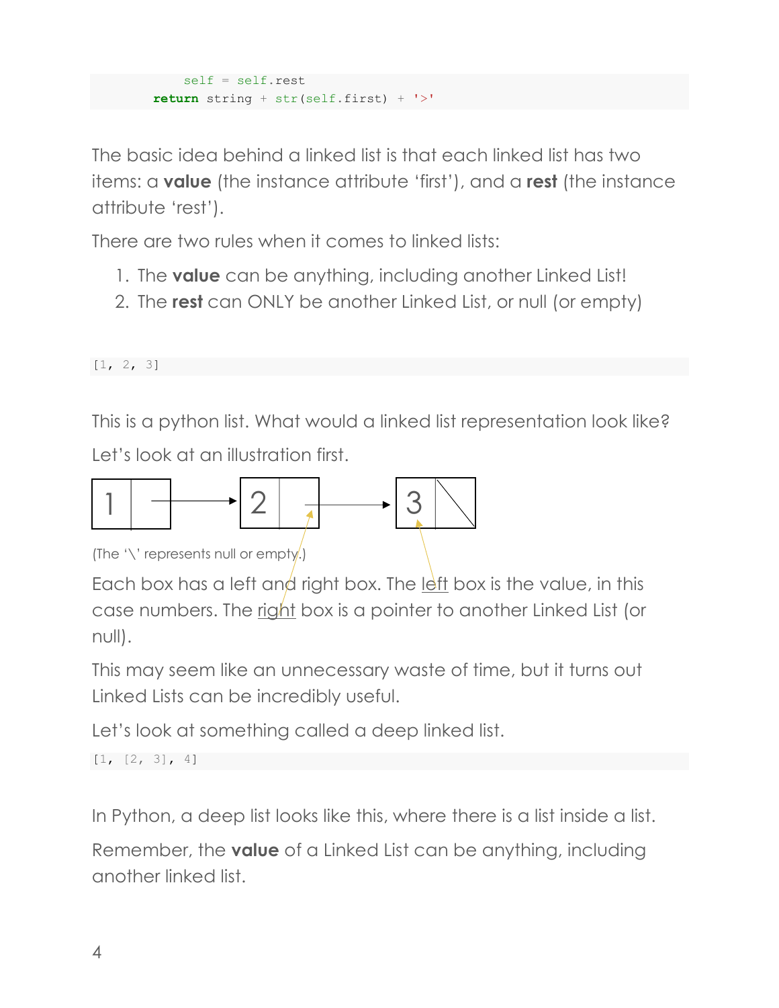```
self = self.rest return string + str(self.first) + '>'
```
The basic idea behind a linked list is that each linked list has two items: a **value** (the instance attribute 'first'), and a **rest** (the instance attribute 'rest').

There are two rules when it comes to linked lists:

- 1. The **value** can be anything, including another Linked List!
- 2. The **rest** can ONLY be another Linked List, or null (or empty)

 $[1, 2, 3]$ 

This is a python list. What would a linked list representation look like? Let's look at an illustration first.



(The '\' represents null or empty.)

Each box has a left and right box. The left box is the value, in this case numbers. The right box is a pointer to another Linked List (or null).

This may seem like an unnecessary waste of time, but it turns out Linked Lists can be incredibly useful.

Let's look at something called a deep linked list.

 $[1, [2, 3], 4]$ 

In Python, a deep list looks like this, where there is a list inside a list.

Remember, the **value** of a Linked List can be anything, including another linked list.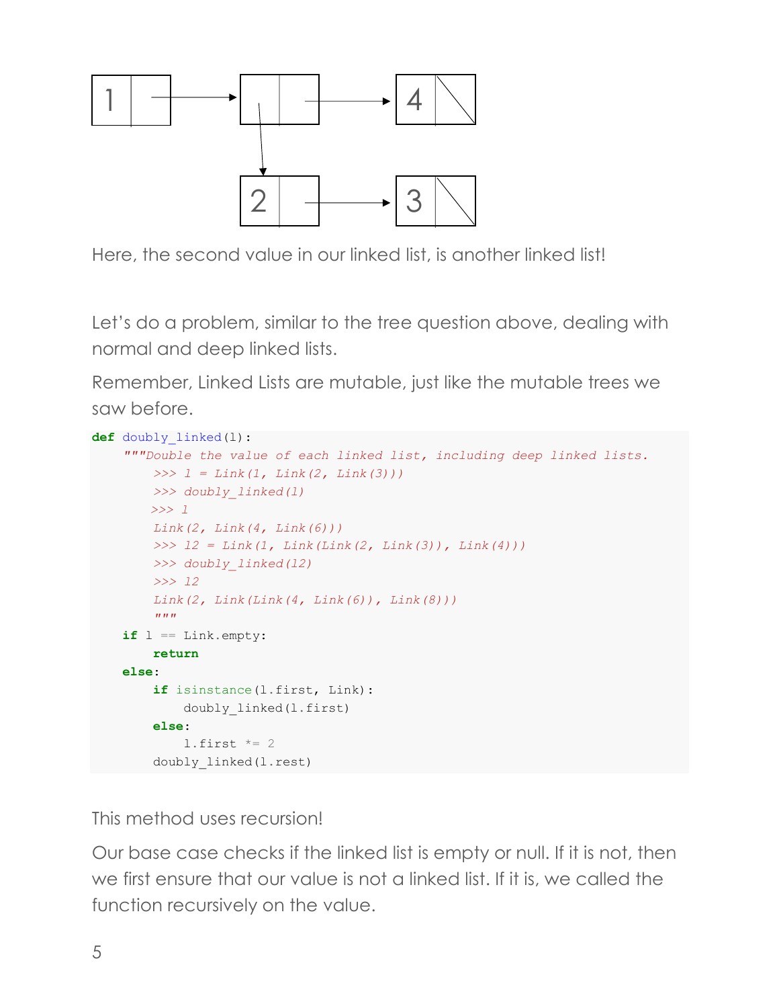

Here, the second value in our linked list, is another linked list!

Let's do a problem, similar to the tree question above, dealing with normal and deep linked lists.

Remember, Linked Lists are mutable, just like the mutable trees we saw before.

```
def doubly_linked(l):
     """Double the value of each linked list, including deep linked lists.
         >>> l = Link(1, Link(2, Link(3)))
         >>> doubly_linked(l)
         >>> l
         Link(2, Link(4, Link(6)))
         >>> l2 = Link(1, Link(Link(2, Link(3)), Link(4)))
         >>> doubly_linked(l2)
         >>> l2
         Link(2, Link(Link(4, Link(6)), Link(8)))
         """
     if l == Link.empty:
         return
     else:
         if isinstance(l.first, Link):
             doubly_linked(l.first)
         else:
            l.first *= 2 doubly_linked(l.rest)
```
This method uses recursion!

Our base case checks if the linked list is empty or null. If it is not, then we first ensure that our value is not a linked list. If it is, we called the function recursively on the value.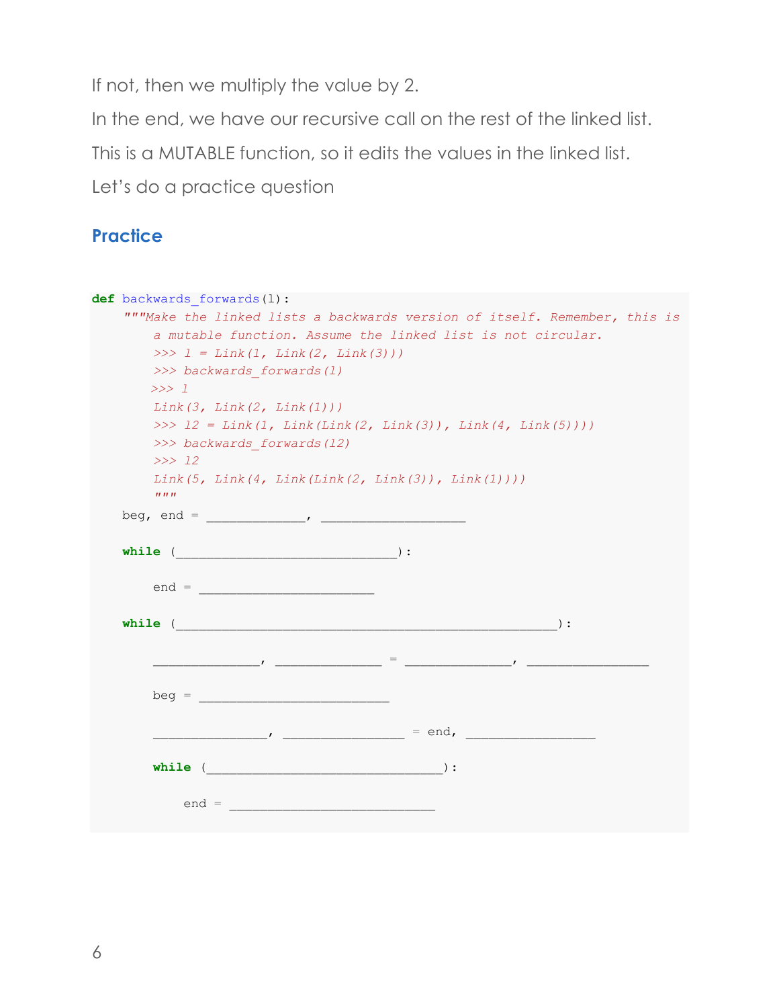If not, then we multiply the value by 2.

In the end, we have our recursive call on the rest of the linked list.

This is a MUTABLE function, so it edits the values in the linked list.

Let's do a practice question

#### **Practice**

```
def backwards_forwards(l):
     """Make the linked lists a backwards version of itself. Remember, this is 
        a mutable function. Assume the linked list is not circular.
        >>> l = Link(1, Link(2, Link(3)))
        >>> backwards_forwards(l)
        >>> l
        Link(3, Link(2, Link(1)))
        >>> l2 = Link(1, Link(Link(2, Link(3)), Link(4, Link(5))))
        >>> backwards_forwards(l2)
        >>> l2
        Link(5, Link(4, Link(Link(2, Link(3)), Link(1))))
        """
    beg, end = _____________, ___________________
   while (__________________________________):
        end = _______________________
   while ( \qquad \qquad ):
             ______________, ______________ = ______________, ________________
        beg = _________________________
           _______________, ________________ = end, _________________
        while (_______________________________):
           end =
```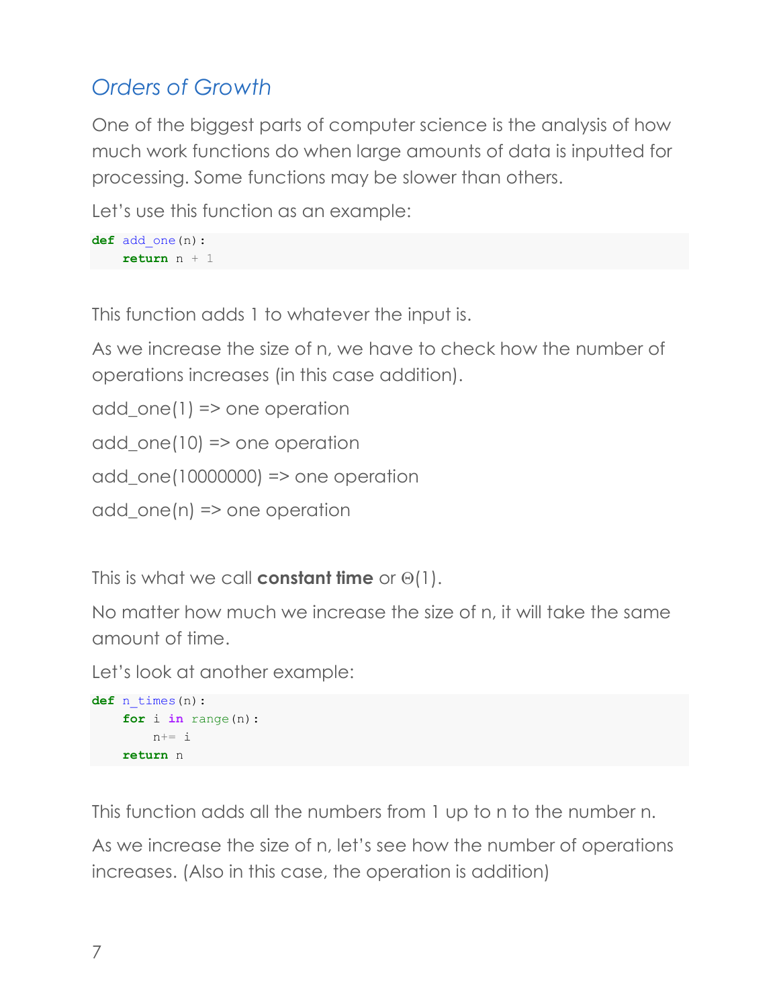# *Orders of Growth*

One of the biggest parts of computer science is the analysis of how much work functions do when large amounts of data is inputted for processing. Some functions may be slower than others.

Let's use this function as an example:

```
def add_one(n):
     return n + 1
```
This function adds 1 to whatever the input is.

As we increase the size of n, we have to check how the number of operations increases (in this case addition).

```
add_one(1) => one operation
add one(10) => one operation
add_one(10000000) => one operation
add one(n) \Rightarrow one operation
```
This is what we call **constant time** or  $\Theta(1)$ .

No matter how much we increase the size of n, it will take the same amount of time.

Let's look at another example:

```
def n_times(n):
     for i in range(n):
        n+= i return n
```
This function adds all the numbers from 1 up to n to the number n.

As we increase the size of n, let's see how the number of operations increases. (Also in this case, the operation is addition)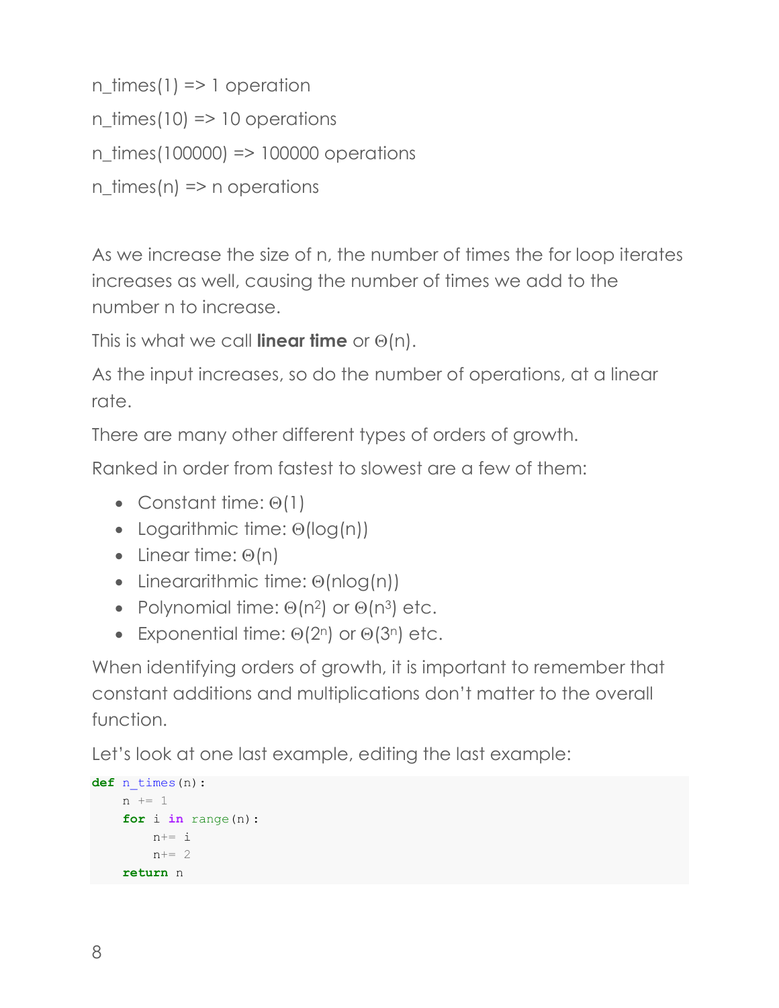n  $times(1)$  => 1 operation

 $n_{\text{times}}(10) \Rightarrow 10$  operations

n\_times(100000) => 100000 operations

n\_times(n) => n operations

As we increase the size of n, the number of times the for loop iterates increases as well, causing the number of times we add to the number n to increase.

This is what we call **linear time** or  $\Theta(n)$ .

As the input increases, so do the number of operations, at a linear rate.

There are many other different types of orders of growth.

Ranked in order from fastest to slowest are a few of them:

- Constant time:  $\Theta(1)$
- Logarithmic time:  $\Theta(\log(n))$
- Linear time:  $\Theta(n)$
- Lineararithmic time:  $\Theta$ (nlog(n))
- Polynomial time:  $\Theta(n^2)$  or  $\Theta(n^3)$  etc.
- Exponential time:  $\Theta(2^n)$  or  $\Theta(3^n)$  etc.

When identifying orders of growth, it is important to remember that constant additions and multiplications don't matter to the overall function.

Let's look at one last example, editing the last example:

```
def n_times(n):
    n \neq 1 for i in range(n):
       n+= in+= 2 return n
```